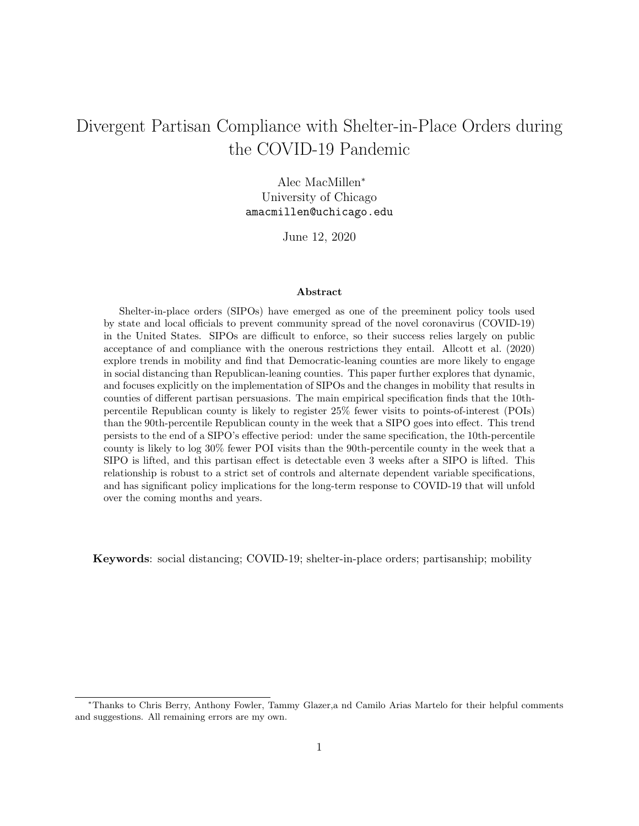# <span id="page-0-0"></span>Divergent Partisan Compliance with Shelter-in-Place Orders during the COVID-19 Pandemic

Alec MacMillen<sup>∗</sup> University of Chicago amacmillen@uchicago.edu

June 12, 2020

## Abstract

Shelter-in-place orders (SIPOs) have emerged as one of the preeminent policy tools used by state and local officials to prevent community spread of the novel coronavirus (COVID-19) in the United States. SIPOs are difficult to enforce, so their success relies largely on public acceptance of and compliance with the onerous restrictions they entail. [Allcott et al.](#page-13-0) [\(2020\)](#page-13-0) explore trends in mobility and find that Democratic-leaning counties are more likely to engage in social distancing than Republican-leaning counties. This paper further explores that dynamic, and focuses explicitly on the implementation of SIPOs and the changes in mobility that results in counties of different partisan persuasions. The main empirical specification finds that the 10thpercentile Republican county is likely to register 25% fewer visits to points-of-interest (POIs) than the 90th-percentile Republican county in the week that a SIPO goes into effect. This trend persists to the end of a SIPO's effective period: under the same specification, the 10th-percentile county is likely to log 30% fewer POI visits than the 90th-percentile county in the week that a SIPO is lifted, and this partisan effect is detectable even 3 weeks after a SIPO is lifted. This relationship is robust to a strict set of controls and alternate dependent variable specifications, and has significant policy implications for the long-term response to COVID-19 that will unfold over the coming months and years.

Keywords: social distancing; COVID-19; shelter-in-place orders; partisanship; mobility

<sup>∗</sup>Thanks to Chris Berry, Anthony Fowler, Tammy Glazer,a nd Camilo Arias Martelo for their helpful comments and suggestions. All remaining errors are my own.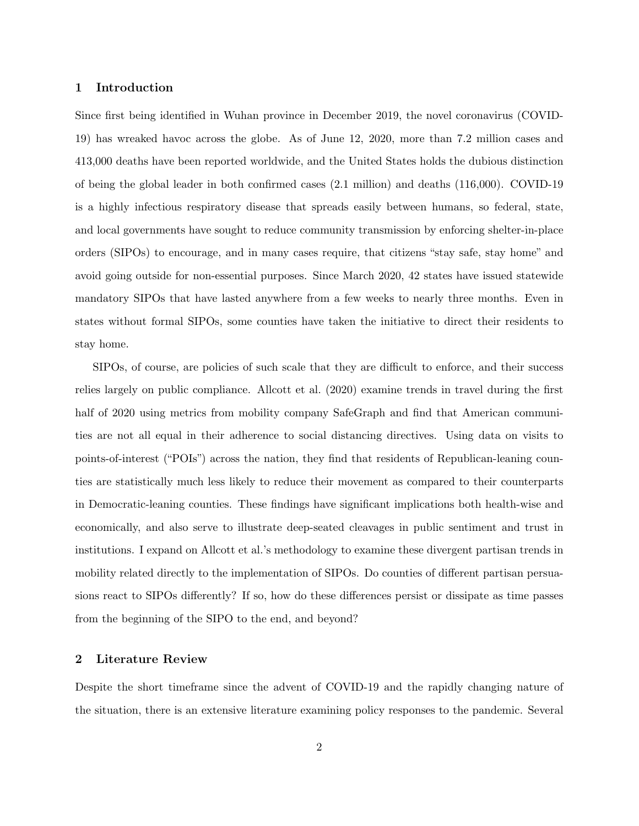#### 1 Introduction

Since first being identified in Wuhan province in December 2019, the novel coronavirus (COVID-19) has wreaked havoc across the globe. As of June 12, 2020, more than 7.2 million cases and 413,000 deaths have been reported worldwide, and the United States holds the dubious distinction of being the global leader in both confirmed cases (2.1 million) and deaths (116,000). COVID-19 is a highly infectious respiratory disease that spreads easily between humans, so federal, state, and local governments have sought to reduce community transmission by enforcing shelter-in-place orders (SIPOs) to encourage, and in many cases require, that citizens "stay safe, stay home" and avoid going outside for non-essential purposes. Since March 2020, 42 states have issued statewide mandatory SIPOs that have lasted anywhere from a few weeks to nearly three months. Even in states without formal SIPOs, some counties have taken the initiative to direct their residents to stay home.

SIPOs, of course, are policies of such scale that they are difficult to enforce, and their success relies largely on public compliance. [Allcott et al.](#page-13-0) [\(2020\)](#page-13-0) examine trends in travel during the first half of 2020 using metrics from mobility company SafeGraph and find that American communities are not all equal in their adherence to social distancing directives. Using data on visits to points-of-interest ("POIs") across the nation, they find that residents of Republican-leaning counties are statistically much less likely to reduce their movement as compared to their counterparts in Democratic-leaning counties. These findings have significant implications both health-wise and economically, and also serve to illustrate deep-seated cleavages in public sentiment and trust in institutions. I expand on Allcott et al.'s methodology to examine these divergent partisan trends in mobility related directly to the implementation of SIPOs. Do counties of different partisan persuasions react to SIPOs differently? If so, how do these differences persist or dissipate as time passes from the beginning of the SIPO to the end, and beyond?

# 2 Literature Review

Despite the short timeframe since the advent of COVID-19 and the rapidly changing nature of the situation, there is an extensive literature examining policy responses to the pandemic. Several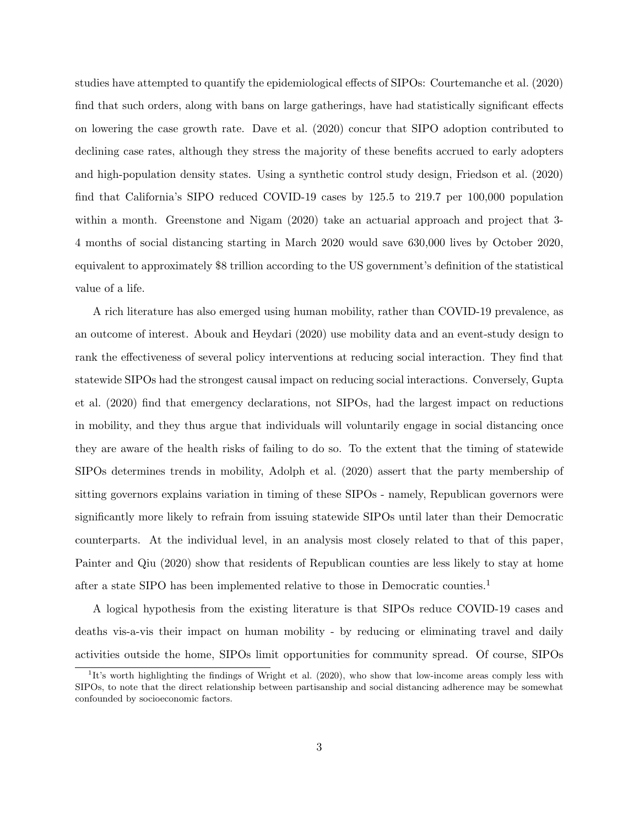studies have attempted to quantify the epidemiological effects of SIPOs: [Courtemanche et al.](#page-13-1) [\(2020\)](#page-13-1) find that such orders, along with bans on large gatherings, have had statistically significant effects on lowering the case growth rate. [Dave et al.](#page-13-2) [\(2020\)](#page-13-2) concur that SIPO adoption contributed to declining case rates, although they stress the majority of these benefits accrued to early adopters and high-population density states. Using a synthetic control study design, [Friedson et al.](#page-13-3) [\(2020\)](#page-13-3) find that California's SIPO reduced COVID-19 cases by 125.5 to 219.7 per 100,000 population within a month. [Greenstone and Nigam](#page-13-4) [\(2020\)](#page-13-4) take an actuarial approach and project that 3-4 months of social distancing starting in March 2020 would save 630,000 lives by October 2020, equivalent to approximately \$8 trillion according to the US government's definition of the statistical value of a life.

A rich literature has also emerged using human mobility, rather than COVID-19 prevalence, as an outcome of interest. [Abouk and Heydari](#page-13-5) [\(2020\)](#page-13-5) use mobility data and an event-study design to rank the effectiveness of several policy interventions at reducing social interaction. They find that statewide SIPOs had the strongest causal impact on reducing social interactions. Conversely, [Gupta](#page-14-0) [et al.](#page-14-0) [\(2020\)](#page-14-0) find that emergency declarations, not SIPOs, had the largest impact on reductions in mobility, and they thus argue that individuals will voluntarily engage in social distancing once they are aware of the health risks of failing to do so. To the extent that the timing of statewide SIPOs determines trends in mobility, [Adolph et al.](#page-13-6) [\(2020\)](#page-13-6) assert that the party membership of sitting governors explains variation in timing of these SIPOs - namely, Republican governors were significantly more likely to refrain from issuing statewide SIPOs until later than their Democratic counterparts. At the individual level, in an analysis most closely related to that of this paper, [Painter and Qiu](#page-14-1) [\(2020\)](#page-14-1) show that residents of Republican counties are less likely to stay at home after a state SIPO has been implemented relative to those in Democratic counties.[1](#page-0-0)

A logical hypothesis from the existing literature is that SIPOs reduce COVID-19 cases and deaths vis-a-vis their impact on human mobility - by reducing or eliminating travel and daily activities outside the home, SIPOs limit opportunities for community spread. Of course, SIPOs

<sup>&</sup>lt;sup>1</sup>It's worth highlighting the findings of [Wright et al.](#page-14-2) [\(2020\)](#page-14-2), who show that low-income areas comply less with SIPOs, to note that the direct relationship between partisanship and social distancing adherence may be somewhat confounded by socioeconomic factors.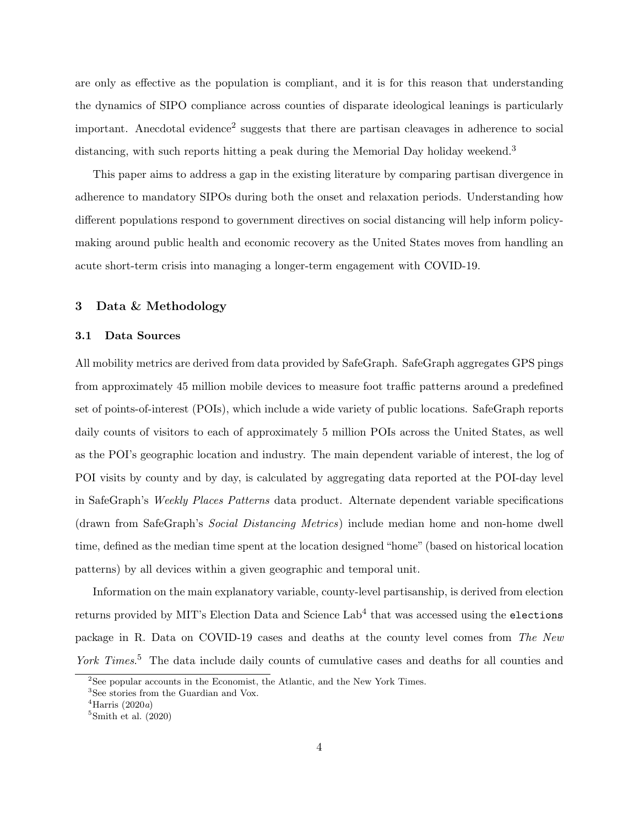are only as effective as the population is compliant, and it is for this reason that understanding the dynamics of SIPO compliance across counties of disparate ideological leanings is particularly important. Anecdotal evidence<sup>[2](#page-0-0)</sup> suggests that there are partisan cleavages in adherence to social distancing, with such reports hitting a peak during the Memorial Day holiday weekend.<sup>[3](#page-0-0)</sup>

This paper aims to address a gap in the existing literature by comparing partisan divergence in adherence to mandatory SIPOs during both the onset and relaxation periods. Understanding how different populations respond to government directives on social distancing will help inform policymaking around public health and economic recovery as the United States moves from handling an acute short-term crisis into managing a longer-term engagement with COVID-19.

## 3 Data & Methodology

#### 3.1 Data Sources

All mobility metrics are derived from data provided by SafeGraph. SafeGraph aggregates GPS pings from approximately 45 million mobile devices to measure foot traffic patterns around a predefined set of points-of-interest (POIs), which include a wide variety of public locations. SafeGraph reports daily counts of visitors to each of approximately 5 million POIs across the United States, as well as the POI's geographic location and industry. The main dependent variable of interest, the log of POI visits by county and by day, is calculated by aggregating data reported at the POI-day level in SafeGraph's Weekly Places Patterns data product. Alternate dependent variable specifications (drawn from SafeGraph's Social Distancing Metrics) include median home and non-home dwell time, defined as the median time spent at the location designed "home" (based on historical location patterns) by all devices within a given geographic and temporal unit.

Information on the main explanatory variable, county-level partisanship, is derived from election returns provided by MIT's Election Data and Science  ${\rm Lab^4}$  ${\rm Lab^4}$  ${\rm Lab^4}$  that was accessed using the elections package in R. Data on COVID-19 cases and deaths at the county level comes from The New York Times.<sup>[5](#page-0-0)</sup> The data include daily counts of cumulative cases and deaths for all counties and

 $2$ See popular accounts in the [Economist,](https://www.economist.com/graphic-detail/2020/04/06/red-and-blue-states-are-divided-over-social-distancing) the [Atlantic,](https://www.theatlantic.com/politics/archive/2020/03/social-distancing-culture/609019/) and the [New York Times.](https://www.nytimes.com/2020/05/25/us/politics/coronavirus-red-blue-states.html)

<sup>3</sup>See stories from the [Guardian](https://www.theguardian.com/world/2020/may/25/americans-defy-covid-19-social-distancing-rules-to-celebrate-memorial-day-holiday) and [Vox.](https://www.vox.com/2020/5/24/21269121/beach-social-distance-memorial-day)

 $4$ [Harris](#page-14-3) [\(2020](#page-14-3)a)

 ${}^{5}$ [Smith et al.](#page-14-4) [\(2020\)](#page-14-4)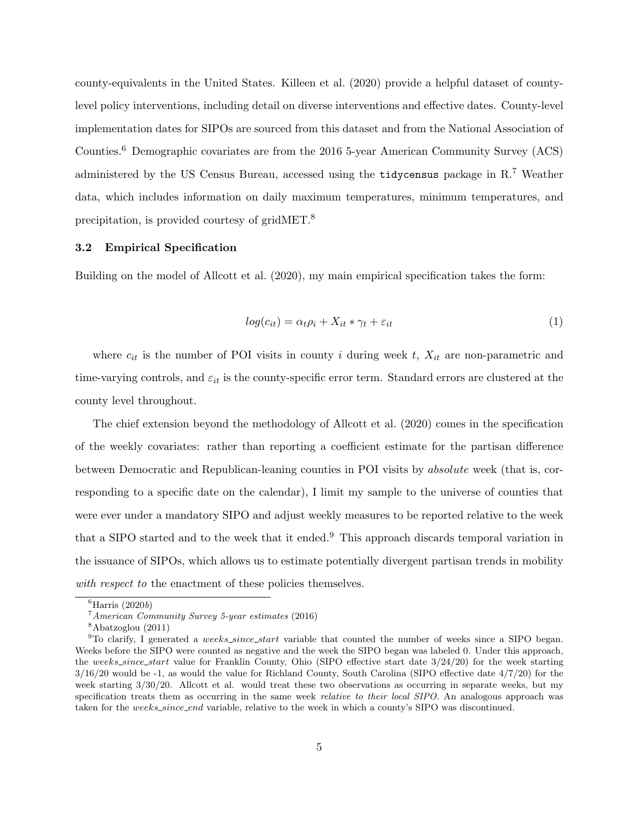county-equivalents in the United States. [Killeen et al.](#page-14-5) [\(2020\)](#page-14-5) provide a helpful dataset of countylevel policy interventions, including detail on diverse interventions and effective dates. County-level implementation dates for SIPOs are sourced from this dataset and from the National Association of Counties.[6](#page-0-0) Demographic covariates are from the 2016 5-year American Community Survey (ACS) administered by the US Census Bureau, accessed using the tidycensus package in R.[7](#page-0-0) Weather data, which includes information on daily maximum temperatures, minimum temperatures, and precipitation, is provided courtesy of gridMET.[8](#page-0-0)

#### 3.2 Empirical Specification

Building on the model of [Allcott et al.](#page-13-0) [\(2020\)](#page-13-0), my main empirical specification takes the form:

$$
log(c_{it}) = \alpha_t \rho_i + X_{it} * \gamma_t + \varepsilon_{it}
$$
\n<sup>(1)</sup>

where  $c_{it}$  is the number of POI visits in county i during week t,  $X_{it}$  are non-parametric and time-varying controls, and  $\varepsilon_{it}$  is the county-specific error term. Standard errors are clustered at the county level throughout.

The chief extension beyond the methodology of [Allcott et al.](#page-13-0) [\(2020\)](#page-13-0) comes in the specification of the weekly covariates: rather than reporting a coefficient estimate for the partisan difference between Democratic and Republican-leaning counties in POI visits by absolute week (that is, corresponding to a specific date on the calendar), I limit my sample to the universe of counties that were ever under a mandatory SIPO and adjust weekly measures to be reported relative to the week that a SIPO started and to the week that it ended.[9](#page-0-0) This approach discards temporal variation in the issuance of SIPOs, which allows us to estimate potentially divergent partisan trends in mobility with respect to the enactment of these policies themselves.

 ${}^{6}$ [Harris](#page-14-6) [\(2020](#page-14-6)b)

<sup>7</sup>[American Community Survey 5-year estimates](#page-13-7) [\(2016\)](#page-13-7)

<sup>8</sup>[Abatzoglou](#page-13-8) [\(2011\)](#page-13-8)

 $^{9}$ To clarify, I generated a *weeks\_since\_start* variable that counted the number of weeks since a SIPO began. Weeks before the SIPO were counted as negative and the week the SIPO began was labeled 0. Under this approach, the weeks\_since\_start value for Franklin County, Ohio (SIPO effective start date  $3/24/20$ ) for the week starting  $3/16/20$  would be -1, as would the value for Richland County, South Carolina (SIPO effective date  $4/7/20$ ) for the week starting  $3/30/20$ . Allcott et al. would treat these two observations as occurring in separate weeks, but my specification treats them as occurring in the same week *relative to their local SIPO*. An analogous approach was taken for the weeks\_since\_end variable, relative to the week in which a county's SIPO was discontinued.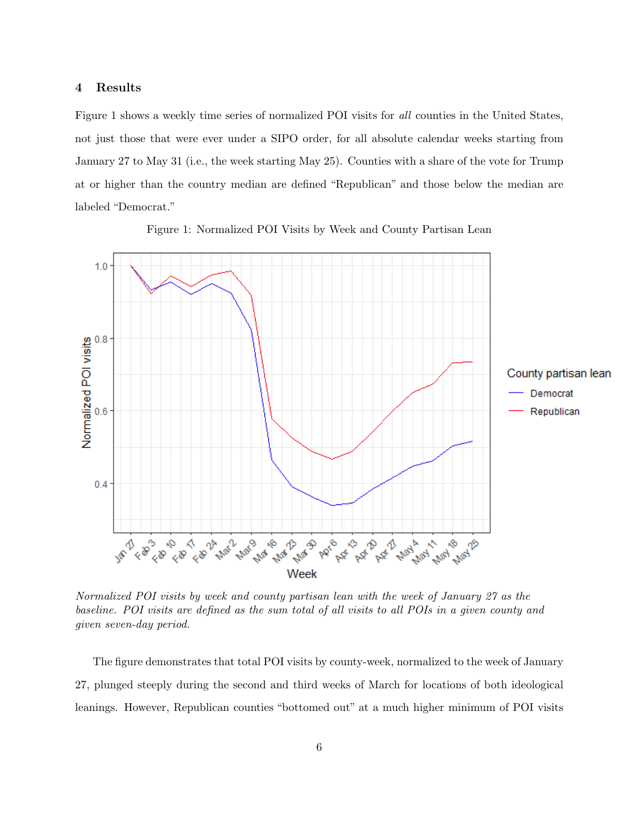# 4 Results

Figure [1](#page-5-0) shows a weekly time series of normalized POI visits for all counties in the United States, not just those that were ever under a SIPO order, for all absolute calendar weeks starting from January 27 to May 31 (i.e., the week starting May 25). Counties with a share of the vote for Trump at or higher than the country median are defined "Republican" and those below the median are labeled "Democrat."

<span id="page-5-0"></span>

Figure 1: Normalized POI Visits by Week and County Partisan Lean

Normalized POI visits by week and county partisan lean with the week of January 27 as the baseline. POI visits are defined as the sum total of all visits to all POIs in a given county and given seven-day period.

The figure demonstrates that total POI visits by county-week, normalized to the week of January 27, plunged steeply during the second and third weeks of March for locations of both ideological leanings. However, Republican counties "bottomed out" at a much higher minimum of POI visits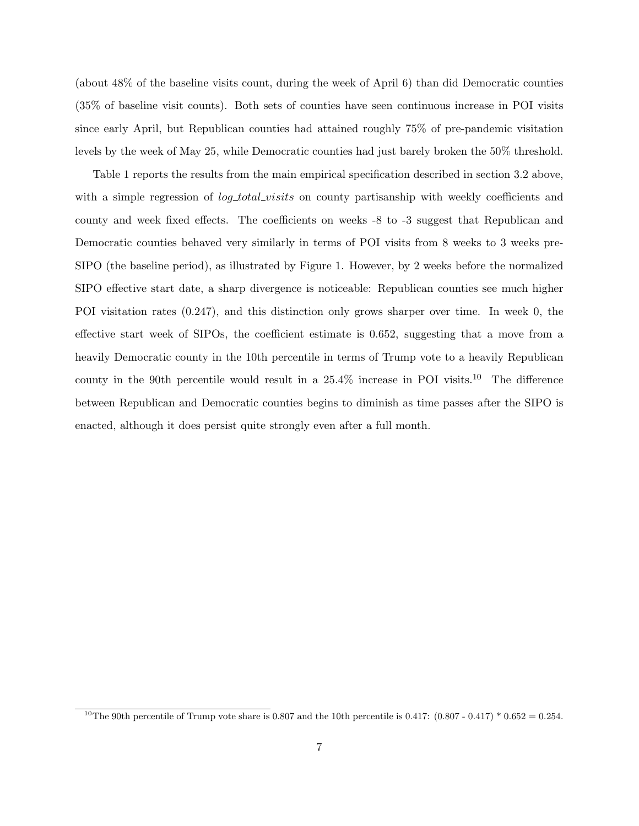(about 48% of the baseline visits count, during the week of April 6) than did Democratic counties (35% of baseline visit counts). Both sets of counties have seen continuous increase in POI visits since early April, but Republican counties had attained roughly 75% of pre-pandemic visitation levels by the week of May 25, while Democratic counties had just barely broken the 50% threshold.

Table [1](#page-7-0) reports the results from the main empirical specification described in section 3.2 above, with a simple regression of  $log\_total\_visits$  on county partisanship with weekly coefficients and county and week fixed effects. The coefficients on weeks -8 to -3 suggest that Republican and Democratic counties behaved very similarly in terms of POI visits from 8 weeks to 3 weeks pre-SIPO (the baseline period), as illustrated by Figure [1.](#page-5-0) However, by 2 weeks before the normalized SIPO effective start date, a sharp divergence is noticeable: Republican counties see much higher POI visitation rates (0.247), and this distinction only grows sharper over time. In week 0, the effective start week of SIPOs, the coefficient estimate is 0.652, suggesting that a move from a heavily Democratic county in the 10th percentile in terms of Trump vote to a heavily Republican county in the 90th percentile would result in a  $25.4\%$  increase in POI visits.<sup>[10](#page-0-0)</sup> The difference between Republican and Democratic counties begins to diminish as time passes after the SIPO is enacted, although it does persist quite strongly even after a full month.

<sup>&</sup>lt;sup>10</sup>The 90th percentile of Trump vote share is 0.807 and the 10th percentile is 0.417:  $(0.807 - 0.417) * 0.652 = 0.254$ .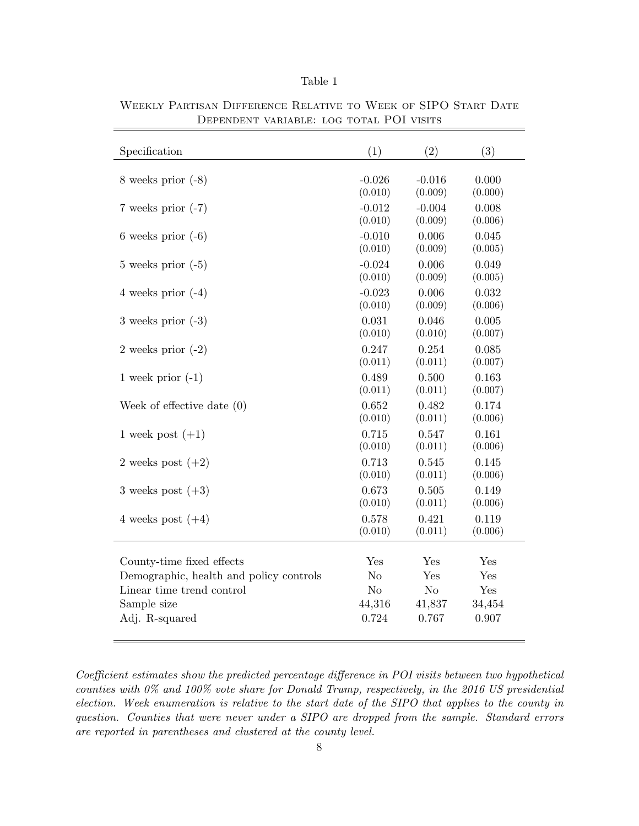| <b>Table</b> |  |
|--------------|--|
|              |  |

| Specification                           | (1)            | (2)            | (3)     |
|-----------------------------------------|----------------|----------------|---------|
| 8 weeks prior $(-8)$                    | $-0.026$       | $-0.016$       | 0.000   |
|                                         | (0.010)        | (0.009)        | (0.000) |
| 7 weeks prior $(-7)$                    | $-0.012$       | $-0.004$       | 0.008   |
|                                         | (0.010)        | (0.009)        | (0.006) |
| 6 weeks prior $(-6)$                    | $-0.010$       | 0.006          | 0.045   |
|                                         | (0.010)        | (0.009)        | (0.005) |
| $5$ weeks prior $(-5)$                  | $-0.024$       | 0.006          | 0.049   |
|                                         | (0.010)        | (0.009)        | (0.005) |
| 4 weeks prior $(-4)$                    | $-0.023$       | 0.006          | 0.032   |
|                                         | (0.010)        | (0.009)        | (0.006) |
| 3 weeks prior $(-3)$                    | 0.031          | 0.046          | 0.005   |
|                                         | (0.010)        | (0.010)        | (0.007) |
| 2 weeks prior $(-2)$                    | 0.247          | 0.254          | 0.085   |
|                                         | (0.011)        | (0.011)        | (0.007) |
| 1 week prior $(-1)$                     | 0.489          | 0.500          | 0.163   |
|                                         | (0.011)        | (0.011)        | (0.007) |
| Week of effective date $(0)$            | 0.652          | 0.482          | 0.174   |
|                                         | (0.010)        | (0.011)        | (0.006) |
| 1 week post $(+1)$                      | 0.715          | 0.547          | 0.161   |
|                                         | (0.010)        | (0.011)        | (0.006) |
| 2 weeks post $(+2)$                     | 0.713          | 0.545          | 0.145   |
|                                         | (0.010)        | (0.011)        | (0.006) |
| 3 weeks post $(+3)$                     | 0.673          | 0.505          | 0.149   |
|                                         | (0.010)        | (0.011)        | (0.006) |
| 4 weeks post $(+4)$                     | 0.578          | 0.421          | 0.119   |
|                                         | (0.010)        | (0.011)        | (0.006) |
| County-time fixed effects               | Yes            | Yes            | Yes     |
| Demographic, health and policy controls | N <sub>o</sub> | Yes            | Yes     |
| Linear time trend control               | N <sub>o</sub> | N <sub>o</sub> | Yes     |
| Sample size                             | 44,316         | 41,837         | 34,454  |
| Adj. R-squared                          | 0.724          | 0.767          | 0.907   |

<span id="page-7-0"></span>Weekly Partisan Difference Relative to Week of SIPO Start Date Dependent variable: log total POI visits

Coefficient estimates show the predicted percentage difference in POI visits between two hypothetical counties with 0% and 100% vote share for Donald Trump, respectively, in the 2016 US presidential election. Week enumeration is relative to the start date of the SIPO that applies to the county in question. Counties that were never under a SIPO are dropped from the sample. Standard errors are reported in parentheses and clustered at the county level.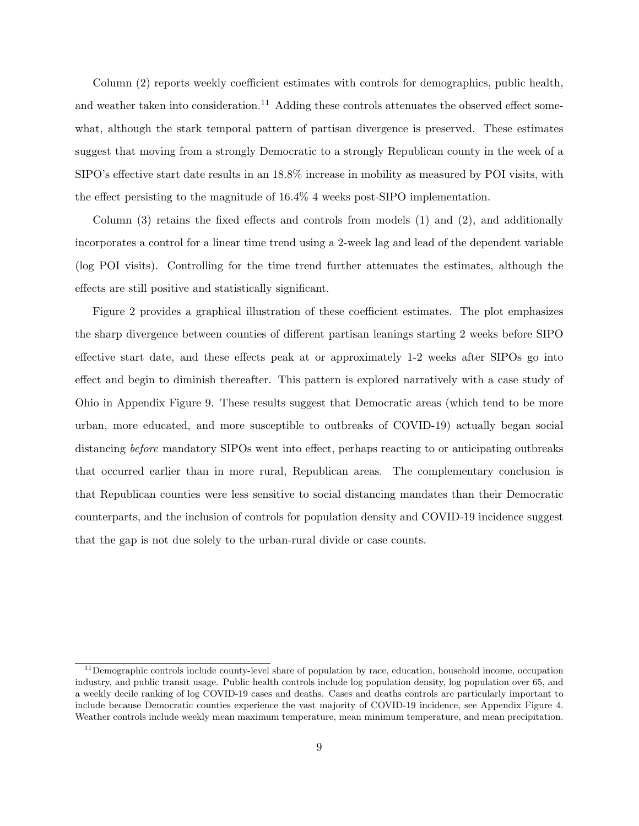Column (2) reports weekly coefficient estimates with controls for demographics, public health, and weather taken into consideration.<sup>[11](#page-0-0)</sup> Adding these controls attenuates the observed effect somewhat, although the stark temporal pattern of partisan divergence is preserved. These estimates suggest that moving from a strongly Democratic to a strongly Republican county in the week of a SIPO's effective start date results in an 18.8% increase in mobility as measured by POI visits, with the effect persisting to the magnitude of 16.4% 4 weeks post-SIPO implementation.

Column (3) retains the fixed effects and controls from models (1) and (2), and additionally incorporates a control for a linear time trend using a 2-week lag and lead of the dependent variable (log POI visits). Controlling for the time trend further attenuates the estimates, although the effects are still positive and statistically significant.

Figure [2](#page-9-0) provides a graphical illustration of these coefficient estimates. The plot emphasizes the sharp divergence between counties of different partisan leanings starting 2 weeks before SIPO effective start date, and these effects peak at or approximately 1-2 weeks after SIPOs go into effect and begin to diminish thereafter. This pattern is explored narratively with a case study of Ohio in Appendix Figure [9.](#page-20-0) These results suggest that Democratic areas (which tend to be more urban, more educated, and more susceptible to outbreaks of COVID-19) actually began social distancing before mandatory SIPOs went into effect, perhaps reacting to or anticipating outbreaks that occurred earlier than in more rural, Republican areas. The complementary conclusion is that Republican counties were less sensitive to social distancing mandates than their Democratic counterparts, and the inclusion of controls for population density and COVID-19 incidence suggest that the gap is not due solely to the urban-rural divide or case counts.

<sup>&</sup>lt;sup>11</sup>Demographic controls include county-level share of population by race, education, household income, occupation industry, and public transit usage. Public health controls include log population density, log population over 65, and a weekly decile ranking of log COVID-19 cases and deaths. Cases and deaths controls are particularly important to include because Democratic counties experience the vast majority of COVID-19 incidence, see Appendix Figure [4.](#page-15-0) Weather controls include weekly mean maximum temperature, mean minimum temperature, and mean precipitation.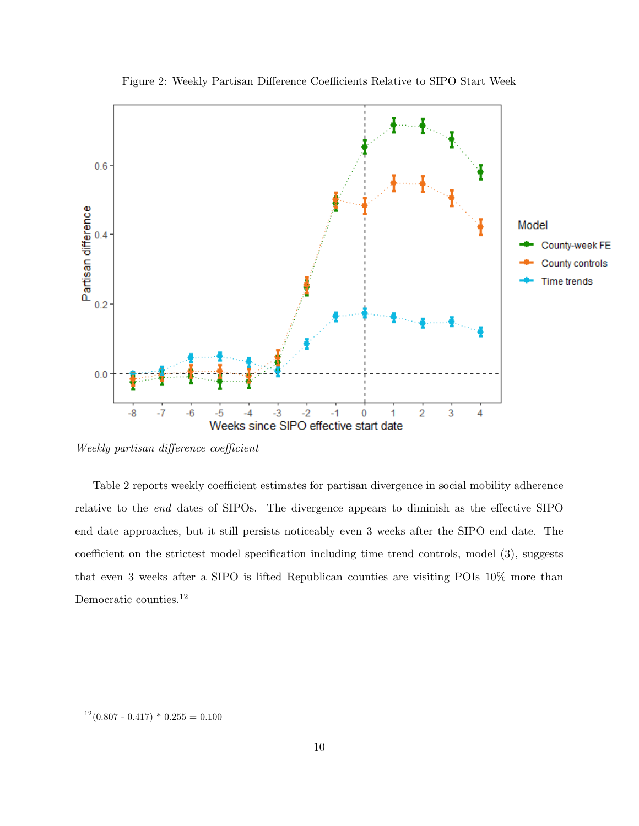<span id="page-9-0"></span>

Figure 2: Weekly Partisan Difference Coefficients Relative to SIPO Start Week

Weekly partisan difference coefficient

Table [2](#page-10-0) reports weekly coefficient estimates for partisan divergence in social mobility adherence relative to the end dates of SIPOs. The divergence appears to diminish as the effective SIPO end date approaches, but it still persists noticeably even 3 weeks after the SIPO end date. The coefficient on the strictest model specification including time trend controls, model (3), suggests that even 3 weeks after a SIPO is lifted Republican counties are visiting POIs 10% more than Democratic counties.[12](#page-0-0)

 $12(0.807 - 0.417) * 0.255 = 0.100$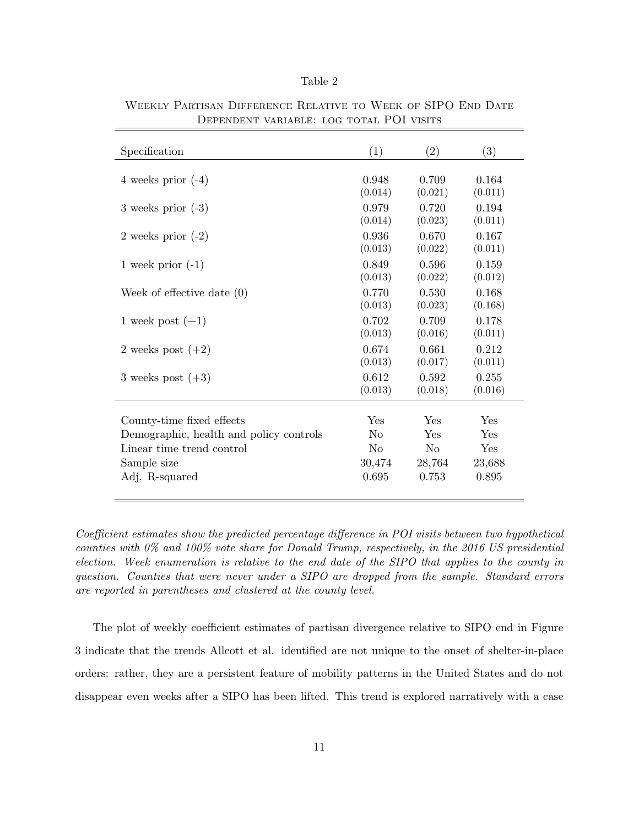| Table |  |
|-------|--|
|-------|--|

| Specification                           | (1)            | (2)            | $\left( 3\right)$ |
|-----------------------------------------|----------------|----------------|-------------------|
| 4 weeks prior $(-4)$                    | 0.948          | 0.709          | 0.164             |
|                                         | (0.014)        | (0.021)        | (0.011)           |
| 3 weeks prior $(-3)$                    | 0.979          | 0.720          | 0.194             |
|                                         | (0.014)        | (0.023)        | (0.011)           |
| 2 weeks prior $(-2)$                    | 0.936          | 0.670          | 0.167             |
|                                         | (0.013)        | (0.022)        | (0.011)           |
| 1 week prior $(-1)$                     | 0.849          | 0.596          | 0.159             |
|                                         | (0.013)        | (0.022)        | (0.012)           |
| Week of effective date $(0)$            | 0.770          | 0.530          | 0.168             |
|                                         | (0.013)        | (0.023)        | (0.168)           |
| 1 week post $(+1)$                      | 0.702          | 0.709          | 0.178             |
|                                         | (0.013)        | (0.016)        | (0.011)           |
| 2 weeks post $(+2)$                     | 0.674          | 0.661          | 0.212             |
|                                         | (0.013)        | (0.017)        | (0.011)           |
| 3 weeks post $(+3)$                     | 0.612          | 0.592          | 0.255             |
|                                         | (0.013)        | (0.018)        | (0.016)           |
| County-time fixed effects               | Yes            | Yes            | Yes               |
| Demographic, health and policy controls | No             | Yes            | Yes               |
| Linear time trend control               | N <sub>0</sub> | N <sub>0</sub> | Yes               |
| Sample size                             | 30,474         | 28,764         | 23,688            |
| Adj. R-squared                          | 0.695          | 0.753          | 0.895             |

<span id="page-10-0"></span>Weekly Partisan Difference Relative to Week of SIPO End Date Dependent variable: log total POI visits

Coefficient estimates show the predicted percentage difference in POI visits between two hypothetical counties with 0% and 100% vote share for Donald Trump, respectively, in the 2016 US presidential election. Week enumeration is relative to the end date of the SIPO that applies to the county in question. Counties that were never under a SIPO are dropped from the sample. Standard errors are reported in parentheses and clustered at the county level.

The plot of weekly coefficient estimates of partisan divergence relative to SIPO end in Figure [3](#page-11-0) indicate that the trends Allcott et al. identified are not unique to the onset of shelter-in-place orders: rather, they are a persistent feature of mobility patterns in the United States and do not disappear even weeks after a SIPO has been lifted. This trend is explored narratively with a case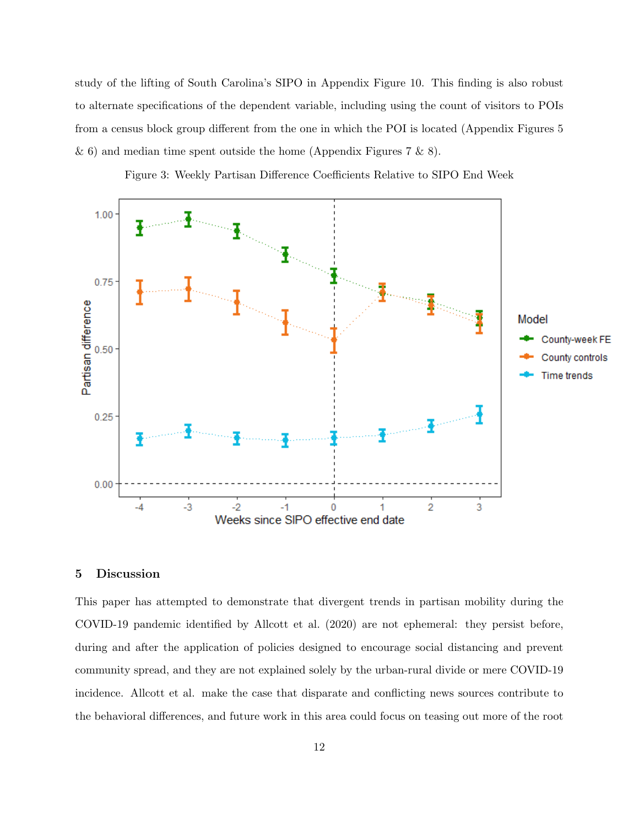study of the lifting of South Carolina's SIPO in Appendix Figure [10.](#page-21-0) This finding is also robust to alternate specifications of the dependent variable, including using the count of visitors to POIs from a census block group different from the one in which the POI is located (Appendix Figures [5](#page-16-0)  $\&$  [6\)](#page-17-0) and median time spent outside the home (Appendix Figures [7](#page-18-0)  $\&$  [8\)](#page-19-0).

Figure 3: Weekly Partisan Difference Coefficients Relative to SIPO End Week

<span id="page-11-0"></span>

# 5 Discussion

This paper has attempted to demonstrate that divergent trends in partisan mobility during the COVID-19 pandemic identified by [Allcott et al.](#page-13-0) [\(2020\)](#page-13-0) are not ephemeral: they persist before, during and after the application of policies designed to encourage social distancing and prevent community spread, and they are not explained solely by the urban-rural divide or mere COVID-19 incidence. Allcott et al. make the case that disparate and conflicting news sources contribute to the behavioral differences, and future work in this area could focus on teasing out more of the root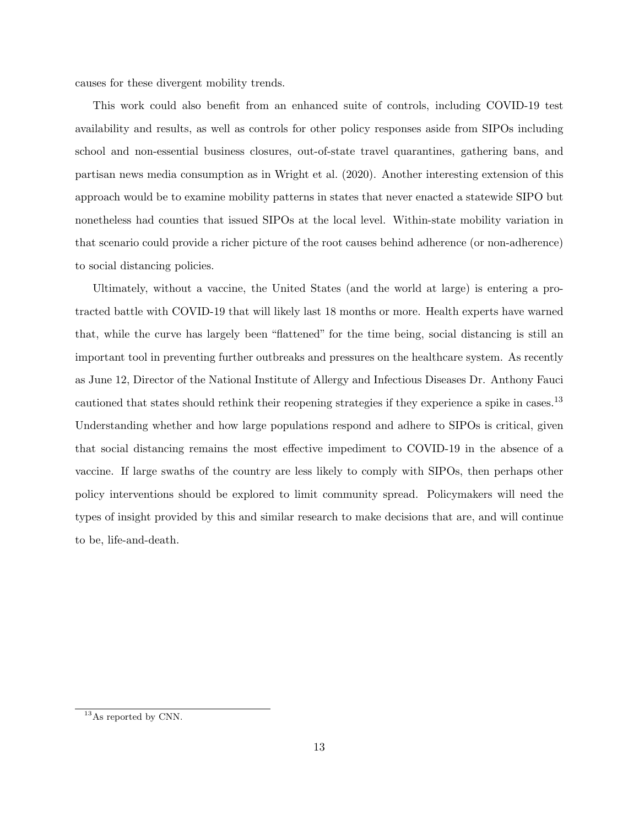causes for these divergent mobility trends.

This work could also benefit from an enhanced suite of controls, including COVID-19 test availability and results, as well as controls for other policy responses aside from SIPOs including school and non-essential business closures, out-of-state travel quarantines, gathering bans, and partisan news media consumption as in [Wright et al.](#page-14-2) [\(2020\)](#page-14-2). Another interesting extension of this approach would be to examine mobility patterns in states that never enacted a statewide SIPO but nonetheless had counties that issued SIPOs at the local level. Within-state mobility variation in that scenario could provide a richer picture of the root causes behind adherence (or non-adherence) to social distancing policies.

Ultimately, without a vaccine, the United States (and the world at large) is entering a protracted battle with COVID-19 that will likely last 18 months or more. Health experts have warned that, while the curve has largely been "flattened" for the time being, social distancing is still an important tool in preventing further outbreaks and pressures on the healthcare system. As recently as June 12, Director of the National Institute of Allergy and Infectious Diseases Dr. Anthony Fauci cautioned that states should rethink their reopening strategies if they experience a spike in cases.<sup>[13](#page-0-0)</sup> Understanding whether and how large populations respond and adhere to SIPOs is critical, given that social distancing remains the most effective impediment to COVID-19 in the absence of a vaccine. If large swaths of the country are less likely to comply with SIPOs, then perhaps other policy interventions should be explored to limit community spread. Policymakers will need the types of insight provided by this and similar research to make decisions that are, and will continue to be, life-and-death.

<sup>&</sup>lt;sup>13</sup>As reported by [CNN.](https://www.cnn.com/2020/06/12/politics/anthony-fauci-reopening-hospitalizations-trump-rally-cnntv/index.html)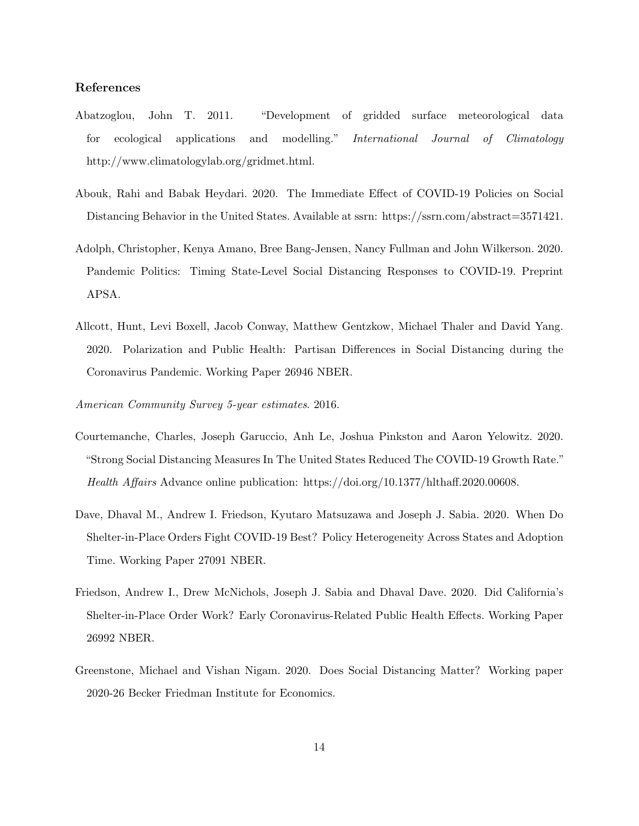### <span id="page-13-8"></span>References

- Abatzoglou, John T. 2011. "Development of gridded surface meteorological data for ecological applications and modelling." International Journal of Climatology http://www.climatologylab.org/gridmet.html.
- <span id="page-13-5"></span>Abouk, Rahi and Babak Heydari. 2020. The Immediate Effect of COVID-19 Policies on Social Distancing Behavior in the United States. Available at ssrn: https://ssrn.com/abstract=3571421.
- <span id="page-13-6"></span>Adolph, Christopher, Kenya Amano, Bree Bang-Jensen, Nancy Fullman and John Wilkerson. 2020. Pandemic Politics: Timing State-Level Social Distancing Responses to COVID-19. Preprint APSA.
- <span id="page-13-0"></span>Allcott, Hunt, Levi Boxell, Jacob Conway, Matthew Gentzkow, Michael Thaler and David Yang. 2020. Polarization and Public Health: Partisan Differences in Social Distancing during the Coronavirus Pandemic. Working Paper 26946 NBER.
- <span id="page-13-7"></span>American Community Survey 5-year estimates. 2016.
- <span id="page-13-1"></span>Courtemanche, Charles, Joseph Garuccio, Anh Le, Joshua Pinkston and Aaron Yelowitz. 2020. "Strong Social Distancing Measures In The United States Reduced The COVID-19 Growth Rate." Health Affairs Advance online publication: https://doi.org/10.1377/hlthaff.2020.00608.
- <span id="page-13-2"></span>Dave, Dhaval M., Andrew I. Friedson, Kyutaro Matsuzawa and Joseph J. Sabia. 2020. When Do Shelter-in-Place Orders Fight COVID-19 Best? Policy Heterogeneity Across States and Adoption Time. Working Paper 27091 NBER.
- <span id="page-13-3"></span>Friedson, Andrew I., Drew McNichols, Joseph J. Sabia and Dhaval Dave. 2020. Did California's Shelter-in-Place Order Work? Early Coronavirus-Related Public Health Effects. Working Paper 26992 NBER.
- <span id="page-13-4"></span>Greenstone, Michael and Vishan Nigam. 2020. Does Social Distancing Matter? Working paper 2020-26 Becker Friedman Institute for Economics.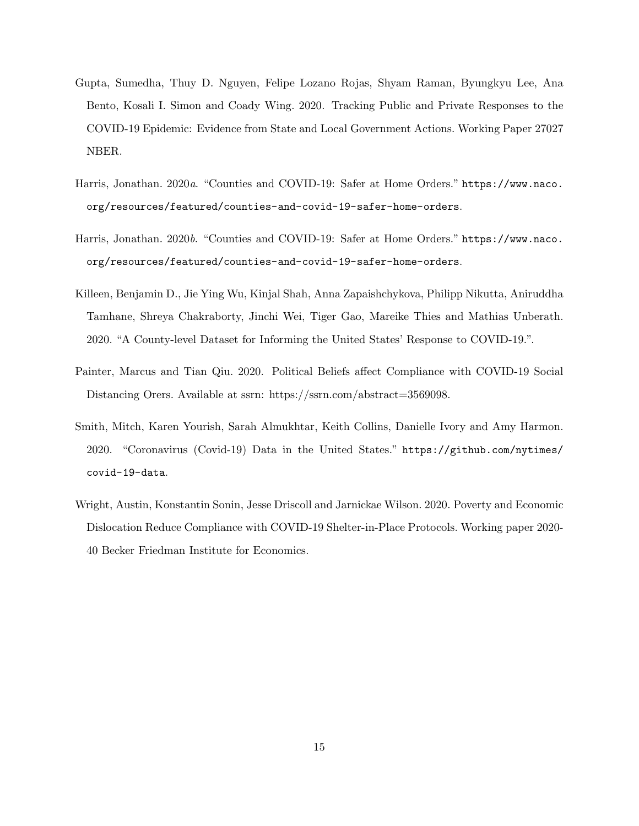- <span id="page-14-0"></span>Gupta, Sumedha, Thuy D. Nguyen, Felipe Lozano Rojas, Shyam Raman, Byungkyu Lee, Ana Bento, Kosali I. Simon and Coady Wing. 2020. Tracking Public and Private Responses to the COVID-19 Epidemic: Evidence from State and Local Government Actions. Working Paper 27027 NBER.
- <span id="page-14-3"></span>Harris, Jonathan. 2020a. "Counties and COVID-19: Safer at Home Orders." [https://www.naco.](https://www.naco.org/resources/featured/counties-and-covid-19-safer-home-orders) [org/resources/featured/counties-and-covid-19-safer-home-orders](https://www.naco.org/resources/featured/counties-and-covid-19-safer-home-orders).
- <span id="page-14-6"></span>Harris, Jonathan. 2020b. "Counties and COVID-19: Safer at Home Orders." [https://www.naco.](https://www.naco.org/resources/featured/counties-and-covid-19-safer-home-orders) [org/resources/featured/counties-and-covid-19-safer-home-orders](https://www.naco.org/resources/featured/counties-and-covid-19-safer-home-orders).
- <span id="page-14-5"></span>Killeen, Benjamin D., Jie Ying Wu, Kinjal Shah, Anna Zapaishchykova, Philipp Nikutta, Aniruddha Tamhane, Shreya Chakraborty, Jinchi Wei, Tiger Gao, Mareike Thies and Mathias Unberath. 2020. "A County-level Dataset for Informing the United States' Response to COVID-19.".
- <span id="page-14-1"></span>Painter, Marcus and Tian Qiu. 2020. Political Beliefs affect Compliance with COVID-19 Social Distancing Orers. Available at ssrn: https://ssrn.com/abstract=3569098.
- <span id="page-14-4"></span>Smith, Mitch, Karen Yourish, Sarah Almukhtar, Keith Collins, Danielle Ivory and Amy Harmon. 2020. "Coronavirus (Covid-19) Data in the United States." [https://github.com/nytimes/](https://github.com/nytimes/covid-19-data) [covid-19-data](https://github.com/nytimes/covid-19-data).
- <span id="page-14-2"></span>Wright, Austin, Konstantin Sonin, Jesse Driscoll and Jarnickae Wilson. 2020. Poverty and Economic Dislocation Reduce Compliance with COVID-19 Shelter-in-Place Protocols. Working paper 2020- 40 Becker Friedman Institute for Economics.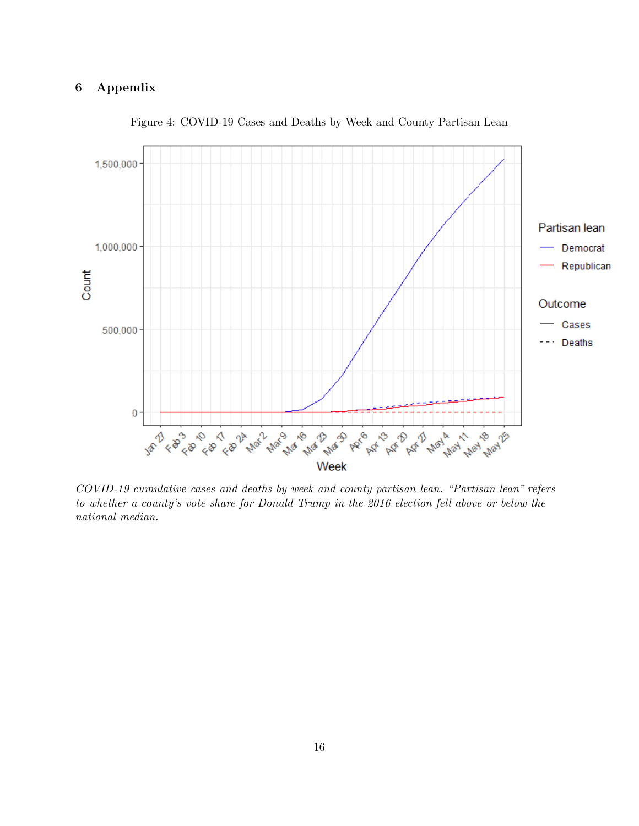# 6 Appendix

<span id="page-15-0"></span>

Figure 4: COVID-19 Cases and Deaths by Week and County Partisan Lean

COVID-19 cumulative cases and deaths by week and county partisan lean. "Partisan lean" refers to whether a county's vote share for Donald Trump in the 2016 election fell above or below the national median.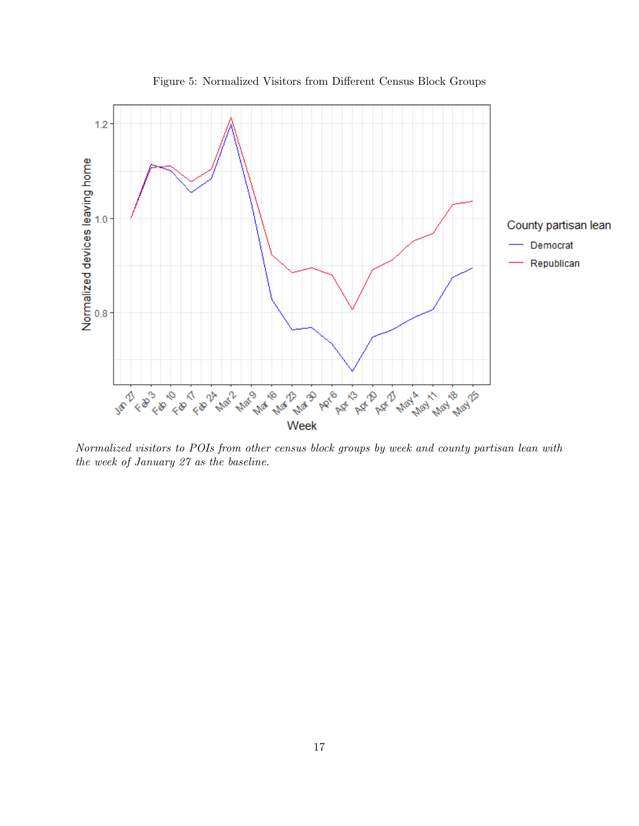<span id="page-16-0"></span>

Figure 5: Normalized Visitors from Different Census Block Groups

Normalized visitors to POIs from other census block groups by week and county partisan lean with the week of January 27 as the baseline.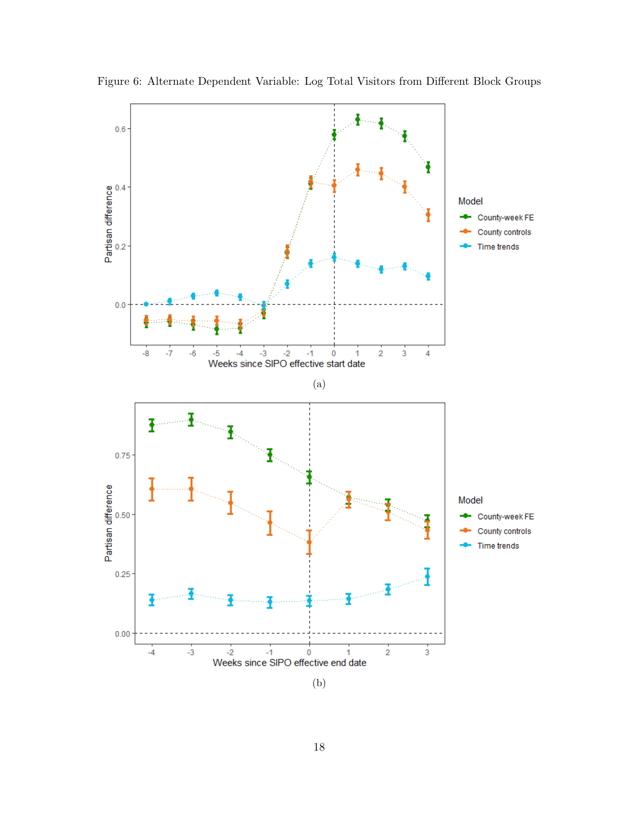

<span id="page-17-0"></span>Figure 6: Alternate Dependent Variable: Log Total Visitors from Different Block Groups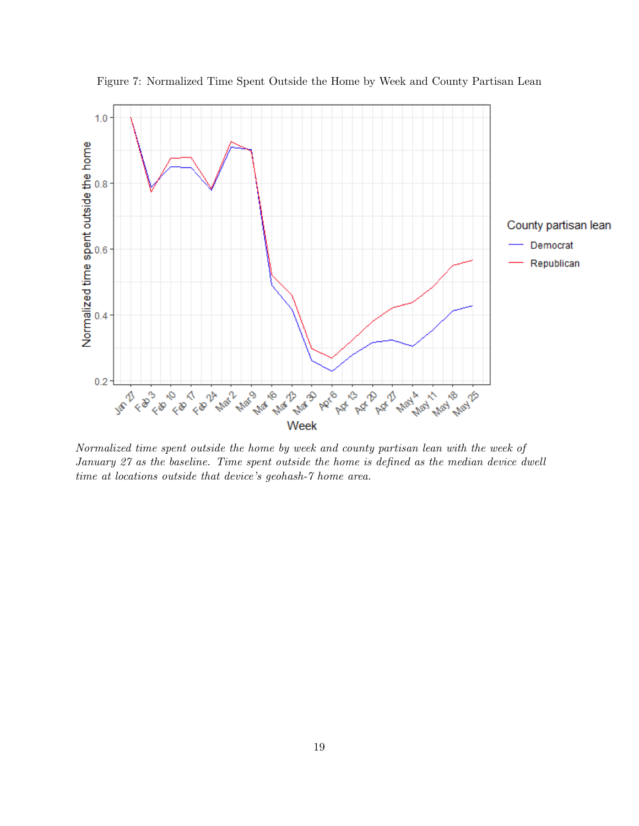

<span id="page-18-0"></span>Figure 7: Normalized Time Spent Outside the Home by Week and County Partisan Lean

Normalized time spent outside the home by week and county partisan lean with the week of January 27 as the baseline. Time spent outside the home is defined as the median device dwell time at locations outside that device's geohash-7 home area.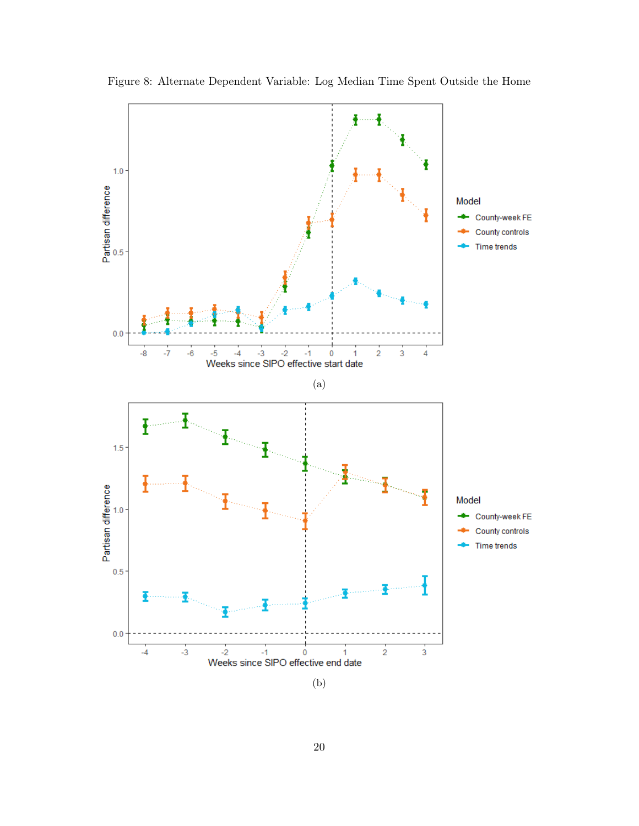<span id="page-19-0"></span>

Figure 8: Alternate Dependent Variable: Log Median Time Spent Outside the Home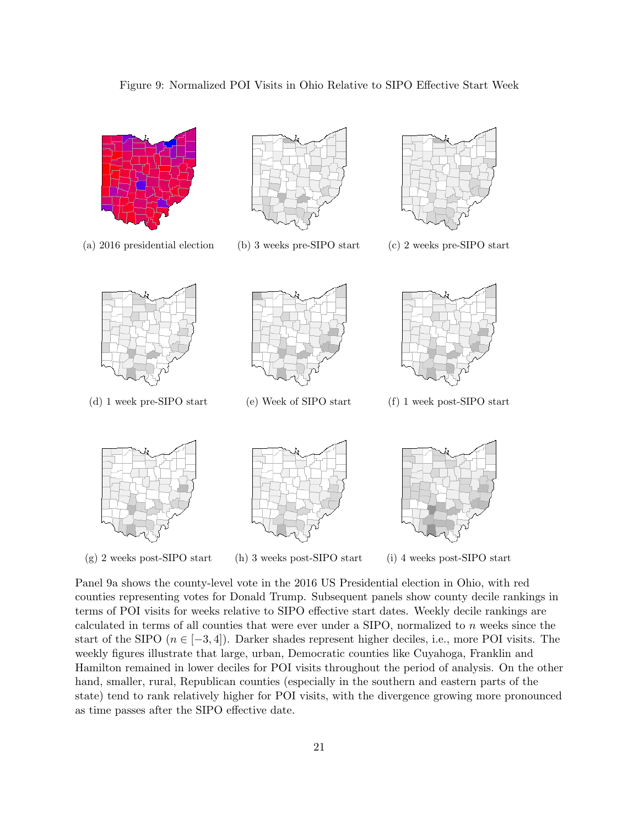<span id="page-20-0"></span>



Panel [9a](#page-20-0) shows the county-level vote in the 2016 US Presidential election in Ohio, with red counties representing votes for Donald Trump. Subsequent panels show county decile rankings in terms of POI visits for weeks relative to SIPO effective start dates. Weekly decile rankings are calculated in terms of all counties that were ever under a SIPO, normalized to  $n$  weeks since the start of the SIPO  $(n \in [-3, 4])$ . Darker shades represent higher deciles, i.e., more POI visits. The weekly figures illustrate that large, urban, Democratic counties like Cuyahoga, Franklin and Hamilton remained in lower deciles for POI visits throughout the period of analysis. On the other hand, smaller, rural, Republican counties (especially in the southern and eastern parts of the state) tend to rank relatively higher for POI visits, with the divergence growing more pronounced as time passes after the SIPO effective date.